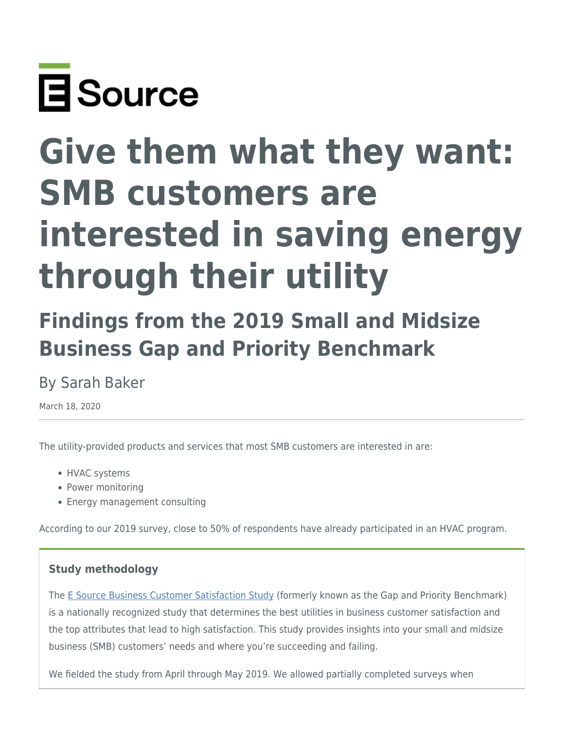

# **Give them what they want: SMB customers are interested in saving energy through their utility**

## **Findings from the 2019 Small and Midsize Business Gap and Priority Benchmark**

## By Sarah Baker

March 18, 2020

The utility-provided products and services that most SMB customers are interested in are:

- HVAC systems
- Power monitoring
- Energy management consulting

According to our 2019 survey, close to 50% of respondents have already participated in an HVAC program.

#### **Study methodology**

The [E Source Business Customer Satisfaction Study](https://www.esource.com/business-customer-satisfaction-study) (formerly known as the Gap and Priority Benchmark) is a nationally recognized study that determines the best utilities in business customer satisfaction and the top attributes that lead to high satisfaction. This study provides insights into your small and midsize business (SMB) customers' needs and where you're succeeding and failing.

We fielded the study from April through May 2019. We allowed partially completed surveys when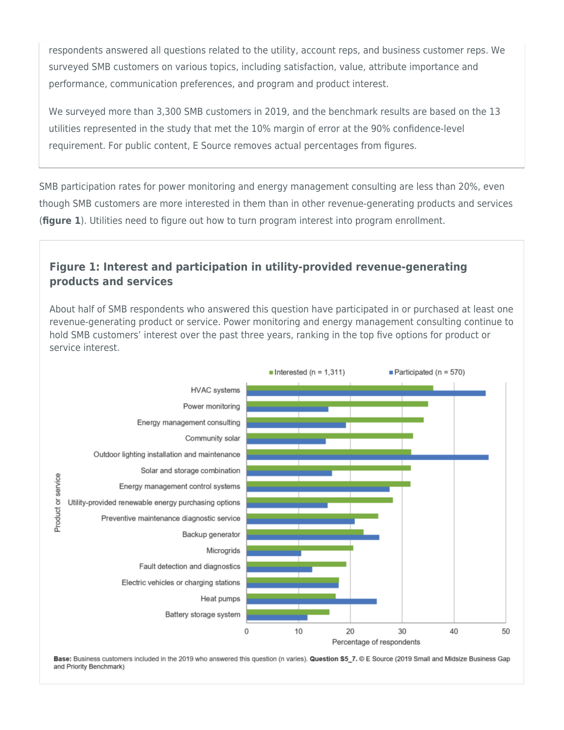respondents answered all questions related to the utility, account reps, and business customer reps. We surveyed SMB customers on various topics, including satisfaction, value, attribute importance and performance, communication preferences, and program and product interest.

We surveyed more than 3,300 SMB customers in 2019, and the benchmark results are based on the 13 utilities represented in the study that met the 10% margin of error at the 90% confidence-level requirement. For public content, E Source removes actual percentages from figures.

SMB participation rates for power monitoring and energy management consulting are less than 20%, even though SMB customers are more interested in them than in other revenue-generating products and services (**figure 1**). Utilities need to figure out how to turn program interest into program enrollment.

### **Figure 1: Interest and participation in utility-provided revenue-generating products and services**

About half of SMB respondents who answered this question have participated in or purchased at least one revenue-generating product or service. Power monitoring and energy management consulting continue to hold SMB customers' interest over the past three years, ranking in the top five options for product or service interest.



Base: Business customers included in the 2019 who answered this question (n varies). Question S5\_7. © E Source (2019 Small and Midsize Business Gap and Priority Benchmark)